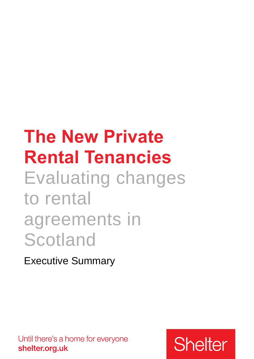# **The New Private Rental Tenancies** Evaluating changes to rental agreements in Scotland

Executive Summary

Until there's a home for everyone shelter.org.uk

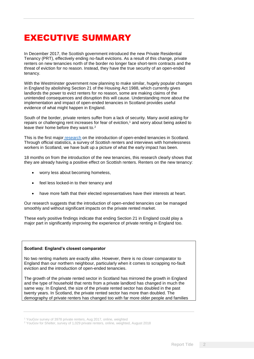# EXECUTIVE SUMMARY

In December 2017, the Scottish government introduced the new Private Residential Tenancy (PRT), effectively ending no-fault evictions. As a result of this change, private renters on new tenancies north of the border no longer face short-term contracts and the threat of eviction for no reason. Instead, they have the true security of an open-ended tenancy.

With the Westminster government now planning to make similar, hugely popular changes in England by abolishing Section 21 of the Housing Act 1988, which currently gives landlords the power to evict renters for no reason, some are making claims of the unintended consequences and disruption this will cause. Understanding more about the implementation and impact of open-ended tenancies in Scotland provides useful evidence of what might happen in England.

South of the border, private renters suffer from a lack of security. Many avoid asking for repairs or challenging rent increases for fear of eviction,<sup>1</sup> and worry about being asked to leave their home before they want to.<sup>2</sup>

This is the first major [research](https://england.shelter.org.uk/__data/assets/pdf_file/0004/1769080/Private_rental_tenancies_Scotland_evaluation_2019_word_version_final.pdf) on the introduction of open-ended tenancies in Scotland. Through official statistics, a survey of Scottish renters and interviews with homelessness workers in Scotland, we have built up a picture of what the early impact has been.

18 months on from the introduction of the new tenancies, this research clearly shows that they are already having a positive effect on Scottish renters. Renters on the new tenancy:

- worry less about becoming homeless,
- feel less locked-in to their tenancy and
- have more faith that their elected representatives have their interests at heart.

Our research suggests that the introduction of open-ended tenancies can be managed smoothly and without significant impacts on the private rented market.

These early positive findings indicate that ending Section 21 in England could play a major part in significantly improving the experience of private renting in England too.

# **Scotland: England's closest comparator**

No two renting markets are exactly alike. However, there is no closer comparator to England than our northern neighbour, particularly when it comes to scrapping no-fault eviction and the introduction of open-ended tenancies.

The growth of the private rented sector in Scotland has mirrored the growth in England and the type of household that rents from a private landlord has changed in much the same way. In England, the size of the private rented sector has doubled in the past twenty years. In Scotland, the private rented sector has more than doubled. The demography of private renters has changed too with far more older people and families

<sup>&</sup>lt;sup>1</sup> YouGov survey of 3978 private renters, Aug 2017, online, weighted

<sup>2</sup> YouGov for Shelter, survey of 1,029 private renters, online, weighted, August 2018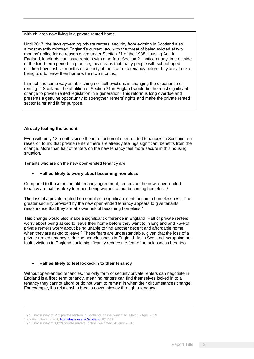with children now living in a private rented home.

Until 2017, the laws governing private renters' security from eviction in Scotland also almost exactly mirrored England's current law, with the threat of being evicted at two months' notice for no reason given under Section 21 of the 1988 Housing Act. In England, landlords can issue renters with a no-fault Section 21 notice at any time outside of the fixed-term period. In practice, this means that many people with school-aged children have just six months of security at the start of a tenancy before they are at risk of being told to leave their home within two months.

In much the same way as abolishing no-fault evictions is changing the experience of renting in Scotland, the abolition of Section 21 in England would be the most significant change to private rented legislation in a generation. This reform is long overdue and presents a genuine opportunity to strengthen renters' rights and make the private rented sector fairer and fit for purpose.

# **Already feeling the benefit**

Even with only 18 months since the introduction of open-ended tenancies in Scotland, our research found that private renters there are already feelings significant benefits from the change. More than half of renters on the new tenancy feel more secure in this housing situation.

Tenants who are on the new open-ended tenancy are:

# • **Half as likely to worry about becoming homeless**

Compared to those on the old tenancy agreement, renters on the new, open-ended tenancy are half as likely to report being worried about becoming homeless.<sup>3</sup>

The loss of a private rented home makes a significant contribution to homelessness. The greater security provided by the new open-ended tenancy appears to give tenants reassurance that they are at lower risk of becoming homeless.<sup>4</sup>

This change would also make a significant difference in England. Half of private renters worry about being asked to leave their home before they want to in England and 75% of private renters worry about being unable to find another decent and affordable home when they are asked to leave.<sup>5</sup> These fears are understandable, given that the loss of a private rented tenancy is driving homelessness in England. As in Scotland, scrapping nofault evictions in England could significantly reduce the fear of homelessness here too.

# • **Half as likely to feel locked-in to their tenancy**

Without open-ended tenancies, the only form of security private renters can negotiate in England is a fixed term tenancy, meaning renters can find themselves locked in to a tenancy they cannot afford or do not want to remain in when their circumstances change. For example, if a relationship breaks down midway through a tenancy.

<sup>3</sup> YouGov survey of 752 private renters in Scotland, online, weighted, March - April 2019

<sup>&</sup>lt;sup>4</sup> Scottish Government, [Homelessness in Scotland](https://www.gov.scot/publications/homelessness-scotland-2017-18/pages/3/) 2017-18

<sup>5</sup> YouGov survey of 1,029 private renters, online, weighted, August 2018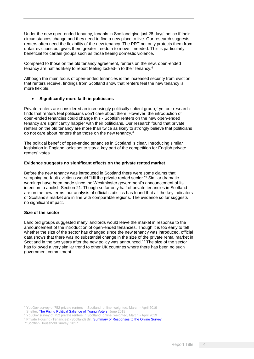Under the new open-ended tenancy, tenants in Scotland give just 28 days' notice if their circumstances change and they need to find a new place to live. Our research suggests renters often need the flexibility of the new tenancy. The PRT not only protects them from unfair evictions but gives them greater freedom to move if needed. This is particularly beneficial for certain groups such as those fleeing domestic violence.

Compared to those on the old tenancy agreement, renters on the new, open-ended tenancy are half as likely to report feeling locked-in to their tenancy.<sup>6</sup>

Although the main focus of open-ended tenancies is the increased security from eviction that renters receive, findings from Scotland show that renters feel the new tenancy is more flexible.

#### • **Significantly more faith in politicians**

Private renters are considered an increasingly politically salient group, $\tau$  yet our research finds that renters feel politicians don't care about them. However, the introduction of open-ended tenancies could change this - Scottish renters on the new open-ended tenancy are significantly happier with their politicians. Our research found that private renters on the old tenancy are more than twice as likely to strongly believe that politicians do not care about renters than those on the new tenancy.<sup>8</sup>

The political benefit of open-ended tenancies in Scotland is clear. Introducing similar legislation in England looks set to stay a key part of the competition for English private renters' votes.

#### **Evidence suggests no significant effects on the private rented market**

Before the new tenancy was introduced in Scotland there were some claims that scrapping no-fault evictions would "kill the private rented sector."<sup>9</sup> Similar dramatic warnings have been made since the Westminster government's announcement of its intention to abolish Section 21. Though so far only half of private tenancies in Scotland are on the new terms, our analysis of official statistics has found that all the key indicators of Scotland's market are in line with comparable regions. The evidence so far suggests no significant impact.

# **Size of the sector**

Landlord groups suggested many landlords would leave the market in response to the announcement of the introduction of open-ended tenancies. Though it is too early to tell whether the size of the sector has changed since the new tenancy was introduced, official data shows that there was no substantial change in the size of the private rental market in Scotland in the two years after the new policy was announced.<sup>10</sup> The size of the sector has followed a very similar trend to other UK countries where there has been no such government commitment.

<sup>10</sup> Scottish Household Survey, 2017

<sup>6</sup> YouGov survey of 752 private renters in Scotland, online, weighted, March - April 2019

<sup>&</sup>lt;sup>7</sup> Shelter, **The Rising Political Salience of Young Voters**, June 2018

<sup>8</sup> YouGov survey of 752 private renters in Scotland, online, weighted, March - April 2019

<sup>&</sup>lt;sup>9</sup> Private Housing (Tenancies) (Scotland) Bill, **Summary of Responses to the Online Survey**.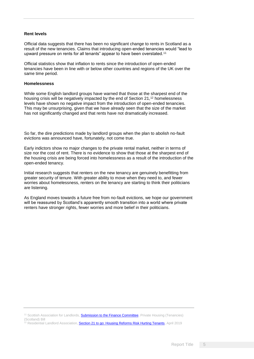#### **Rent levels**

Official data suggests that there has been no significant change to rents in Scotland as a result of the new tenancies. Claims that introducing open-ended tenancies would "lead to upward pressure on rents for all tenants" appear to have been overstated.<sup>11</sup>

Official statistics show that inflation to rents since the introduction of open-ended tenancies have been in line with or below other countries and regions of the UK over the same time period.

#### **Homelessness**

While some English landlord groups have warned that those at the sharpest end of the housing crisis will be negatively impacted by the end of Section 21,<sup>12</sup> homelessness levels have shown no negative impact from the introduction of open-ended tenancies. This may be unsurprising, given that we have already seen that the size of the market has not significantly changed and that rents have not dramatically increased.

So far, the dire predictions made by landlord groups when the plan to abolish no-fault evictions was announced have, fortunately, not come true.

Early indictors show no major changes to the private rental market, neither in terms of size nor the cost of rent. There is no evidence to show that those at the sharpest end of the housing crisis are being forced into homelessness as a result of the introduction of the open-ended tenancy.

Initial research suggests that renters on the new tenancy are genuinely benefitting from greater security of tenure. With greater ability to move when they need to, and fewer worries about homelessness, renters on the tenancy are starting to think their politicians are listening.

As England moves towards a future free from no-fault evictions, we hope our government will be reassured by Scotland's apparently smooth transition into a world where private renters have stronger rights, fewer worries and more belief in their politicians.

<sup>&</sup>lt;sup>11</sup> Scottish Association for Landlords, **Submission to the Finance Committee**, Private Housing (Tenancies) (Scotland) Bill

<sup>&</sup>lt;sup>i2</sup> Residential Landlord Association, [Section 21 to go: Housing Reforms Risk Hurting Tenants,](https://news.rla.org.uk/housing-reforms-risk-hurting-tenants/) April 2019